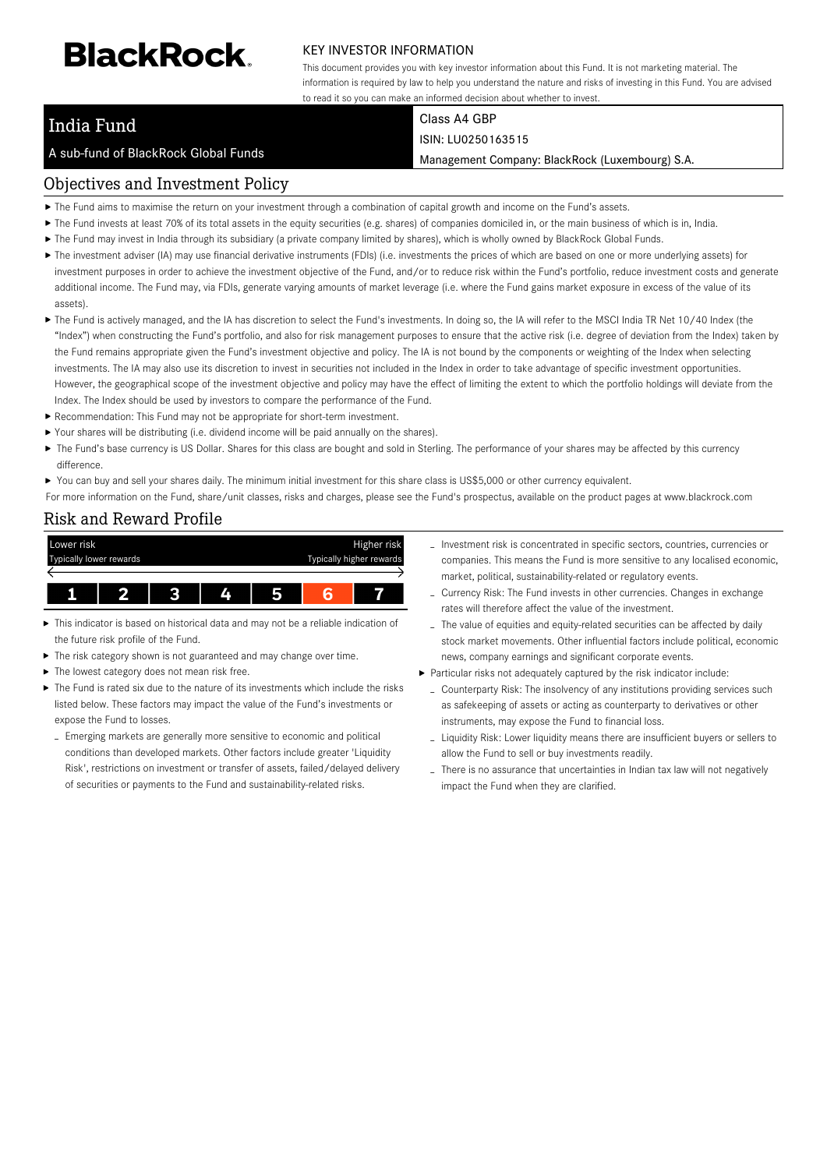# **BlackRock**

#### KEY INVESTOR INFORMATION

This document provides you with key investor information about this Fund. It is not marketing material. The information is required by law to help you understand the nature and risks of investing in this Fund. You are advised to read it so you can make an informed decision about whether to invest.

## India Fund

A sub-fund of BlackRock Global Funds

#### Class A4 GBP ISIN: LU0250163515

Management Company: BlackRock (Luxembourg) S.A.

#### Objectives and Investment Policy

- The Fund aims to maximise the return on your investment through a combination of capital growth and income on the Fund's assets.
- ▶ The Fund invests at least 70% of its total assets in the equity securities (e.g. shares) of companies domiciled in, or the main business of which is in, India.
- ▶ The Fund may invest in India through its subsidiary (a private company limited by shares), which is wholly owned by BlackRock Global Funds.
- ▶ The investment adviser (IA) may use financial derivative instruments (FDIs) (i.e. investments the prices of which are based on one or more underlying assets) for investment purposes in order to achieve the investment objective of the Fund, and/or to reduce risk within the Fund's portfolio, reduce investment costs and generate additional income. The Fund may, via FDIs, generate varying amounts of market leverage (i.e. where the Fund gains market exposure in excess of the value of its assets).
- ▶ The Fund is actively managed, and the IA has discretion to select the Fund's investments. In doing so, the IA will refer to the MSCI India TR Net 10/40 Index (the "Index") when constructing the Fund's portfolio, and also for risk management purposes to ensure that the active risk (i.e. degree of deviation from the Index) taken by the Fund remains appropriate given the Fund's investment objective and policy. The IA is not bound by the components or weighting of the Index when selecting investments. The IA may also use its discretion to invest in securities not included in the Index in order to take advantage of specific investment opportunities. However, the geographical scope of the investment objective and policy may have the effect of limiting the extent to which the portfolio holdings will deviate from the Index. The Index should be used by investors to compare the performance of the Fund.
- Recommendation: This Fund may not be appropriate for short-term investment.
- Your shares will be distributing (i.e. dividend income will be paid annually on the shares).
- ▶ The Fund's base currency is US Dollar. Shares for this class are bought and sold in Sterling. The performance of your shares may be affected by this currency difference.
- ▶ You can buy and sell your shares daily. The minimum initial investment for this share class is US\$5,000 or other currency equivalent.

For more information on the Fund, share/unit classes, risks and charges, please see the Fund's prospectus, available on the product pages at www.blackrock.com

#### Risk and Reward Profile



- This indicator is based on historical data and may not be a reliable indication of the future risk profile of the Fund.
- ▶ The risk category shown is not guaranteed and may change over time.
- The lowest category does not mean risk free.
- The Fund is rated six due to the nature of its investments which include the risks listed below. These factors may impact the value of the Fund's investments or expose the Fund to losses.
- Emerging markets are generally more sensitive to economic and political conditions than developed markets. Other factors include greater 'Liquidity Risk', restrictions on investment or transfer of assets, failed/delayed delivery of securities or payments to the Fund and sustainability-related risks.
- Investment risk is concentrated in specific sectors, countries, currencies or companies. This means the Fund is more sensitive to any localised economic, market, political, sustainability-related or regulatory events.
- Currency Risk: The Fund invests in other currencies. Changes in exchange rates will therefore affect the value of the investment.
- The value of equities and equity-related securities can be affected by daily stock market movements. Other influential factors include political, economic news, company earnings and significant corporate events.
- Particular risks not adequately captured by the risk indicator include:
	- Counterparty Risk: The insolvency of any institutions providing services such as safekeeping of assets or acting as counterparty to derivatives or other instruments, may expose the Fund to financial loss.
	- Liquidity Risk: Lower liquidity means there are insufficient buyers or sellers to allow the Fund to sell or buy investments readily.
	- There is no assurance that uncertainties in Indian tax law will not negatively impact the Fund when they are clarified.